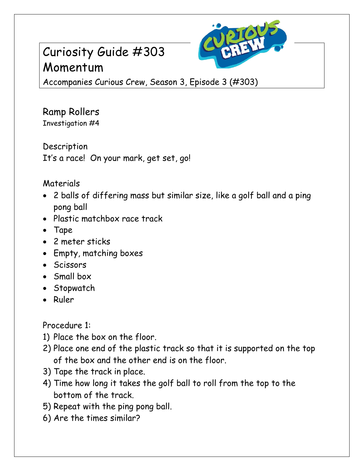## Curiosity Guide #303 Momentum



Accompanies Curious Crew, Season 3, Episode 3 (#303)

## Ramp Rollers Investigation #4

Description It's a race! On your mark, get set, go!

## Materials

- 2 balls of differing mass but similar size, like a golf ball and a ping pong ball
- Plastic matchbox race track
- Tape
- 2 meter sticks
- Empty, matching boxes
- Scissors
- Small box
- Stopwatch
- Ruler

Procedure 1:

- 1) Place the box on the floor.
- 2) Place one end of the plastic track so that it is supported on the top of the box and the other end is on the floor.
- 3) Tape the track in place.
- 4) Time how long it takes the golf ball to roll from the top to the bottom of the track.
- 5) Repeat with the ping pong ball.
- 6) Are the times similar?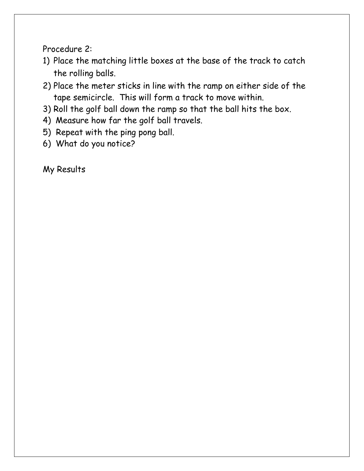Procedure 2:

- 1) Place the matching little boxes at the base of the track to catch the rolling balls.
- 2) Place the meter sticks in line with the ramp on either side of the tape semicircle. This will form a track to move within.
- 3) Roll the golf ball down the ramp so that the ball hits the box.
- 4) Measure how far the golf ball travels.
- 5) Repeat with the ping pong ball.
- 6) What do you notice?

My Results